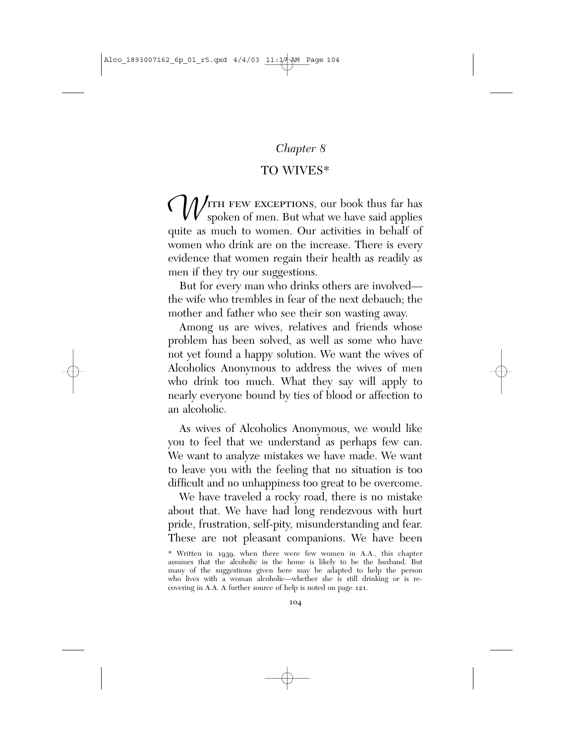## *Chapter 8*

## TO WIVES\*

WITH FEW EXCEPTIONS, our book thus far has<br>quite as much to women. Our activities in behalf of spoken of men. But what we have said applies quite as much to women. Our activities in behalf of women who drink are on the increase. There is every evidence that women regain their health as readily as men if they try our suggestions.

But for every man who drinks others are involved the wife who trembles in fear of the next debauch; the mother and father who see their son wasting away.

Among us are wives, relatives and friends whose problem has been solved, as well as some who have not yet found a happy solution. We want the wives of Alcoholics Anonymous to address the wives of men who drink too much. What they say will apply to nearly everyone bound by ties of blood or affection to an alcoholic.

As wives of Alcoholics Anonymous, we would like you to feel that we understand as perhaps few can. We want to analyze mistakes we have made. We want to leave you with the feeling that no situation is too difficult and no unhappiness too great to be overcome.

We have traveled a rocky road, there is no mistake about that. We have had long rendezvous with hurt pride, frustration, self-pity, misunderstanding and fear. These are not pleasant companions. We have been

<sup>\*</sup> Written in 1939, when there were few women in A.A., this chapter assumes that the alcoholic in the home is likely to be the husband. But many of the suggestions given here may be adapted to help the person who lives with a woman alcoholic—whether she is still drinking or is recovering in A.A. A further source of help is noted on page 121.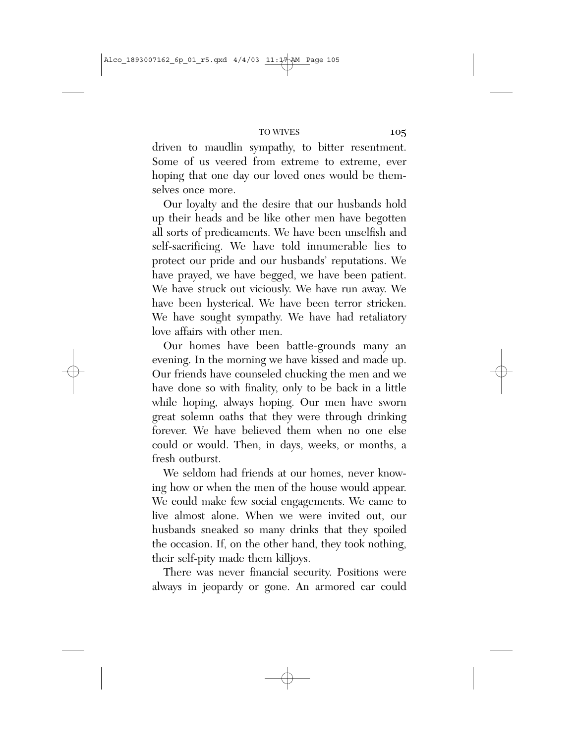driven to maudlin sympathy, to bitter resentment. Some of us veered from extreme to extreme, ever hoping that one day our loved ones would be themselves once more.

Our loyalty and the desire that our husbands hold up their heads and be like other men have begotten all sorts of predicaments. We have been unselfish and self-sacrificing. We have told innumerable lies to protect our pride and our husbands' reputations. We have prayed, we have begged, we have been patient. We have struck out viciously. We have run away. We have been hysterical. We have been terror stricken. We have sought sympathy. We have had retaliatory love affairs with other men.

Our homes have been battle-grounds many an evening. In the morning we have kissed and made up. Our friends have counseled chucking the men and we have done so with finality, only to be back in a little while hoping, always hoping. Our men have sworn great solemn oaths that they were through drinking forever. We have believed them when no one else could or would. Then, in days, weeks, or months, a fresh outburst.

We seldom had friends at our homes, never knowing how or when the men of the house would appear. We could make few social engagements. We came to live almost alone. When we were invited out, our husbands sneaked so many drinks that they spoiled the occasion. If, on the other hand, they took nothing, their self-pity made them killjoys.

There was never financial security. Positions were always in jeopardy or gone. An armored car could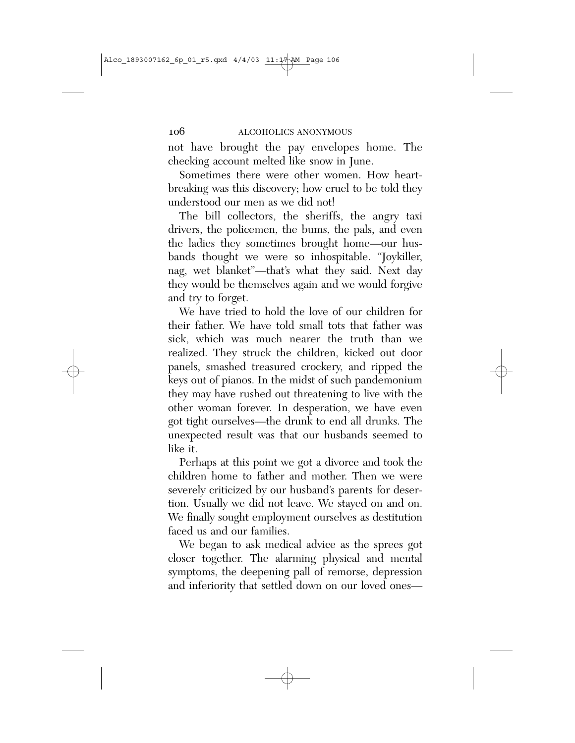not have brought the pay envelopes home. The checking account melted like snow in June.

Sometimes there were other women. How heartbreaking was this discovery; how cruel to be told they understood our men as we did not!

The bill collectors, the sheriffs, the angry taxi drivers, the policemen, the bums, the pals, and even the ladies they sometimes brought home—our husbands thought we were so inhospitable. "Joykiller, nag, wet blanket"—that's what they said. Next day they would be themselves again and we would forgive and try to forget.

We have tried to hold the love of our children for their father. We have told small tots that father was sick, which was much nearer the truth than we realized. They struck the children, kicked out door panels, smashed treasured crockery, and ripped the keys out of pianos. In the midst of such pandemonium they may have rushed out threatening to live with the other woman forever. In desperation, we have even got tight ourselves—the drunk to end all drunks. The unexpected result was that our husbands seemed to like it.

Perhaps at this point we got a divorce and took the children home to father and mother. Then we were severely criticized by our husband's parents for desertion. Usually we did not leave. We stayed on and on. We finally sought employment ourselves as destitution faced us and our families.

We began to ask medical advice as the sprees got closer together. The alarming physical and mental symptoms, the deepening pall of remorse, depression and inferiority that settled down on our loved ones—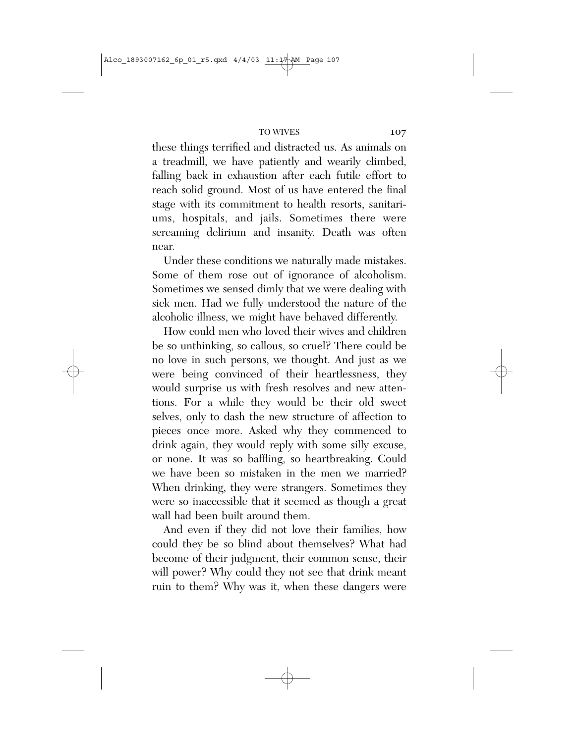## TO WIVES 107

these things terrified and distracted us. As animals on a treadmill, we have patiently and wearily climbed, falling back in exhaustion after each futile effort to reach solid ground. Most of us have entered the final stage with its commitment to health resorts, sanitariums, hospitals, and jails. Sometimes there were screaming delirium and insanity. Death was often near.

Under these conditions we naturally made mistakes. Some of them rose out of ignorance of alcoholism. Sometimes we sensed dimly that we were dealing with sick men. Had we fully understood the nature of the alcoholic illness, we might have behaved differently.

How could men who loved their wives and children be so unthinking, so callous, so cruel? There could be no love in such persons, we thought. And just as we were being convinced of their heartlessness, they would surprise us with fresh resolves and new attentions. For a while they would be their old sweet selves, only to dash the new structure of affection to pieces once more. Asked why they commenced to drink again, they would reply with some silly excuse, or none. It was so baffling, so heartbreaking. Could we have been so mistaken in the men we married? When drinking, they were strangers. Sometimes they were so inaccessible that it seemed as though a great wall had been built around them.

And even if they did not love their families, how could they be so blind about themselves? What had become of their judgment, their common sense, their will power? Why could they not see that drink meant ruin to them? Why was it, when these dangers were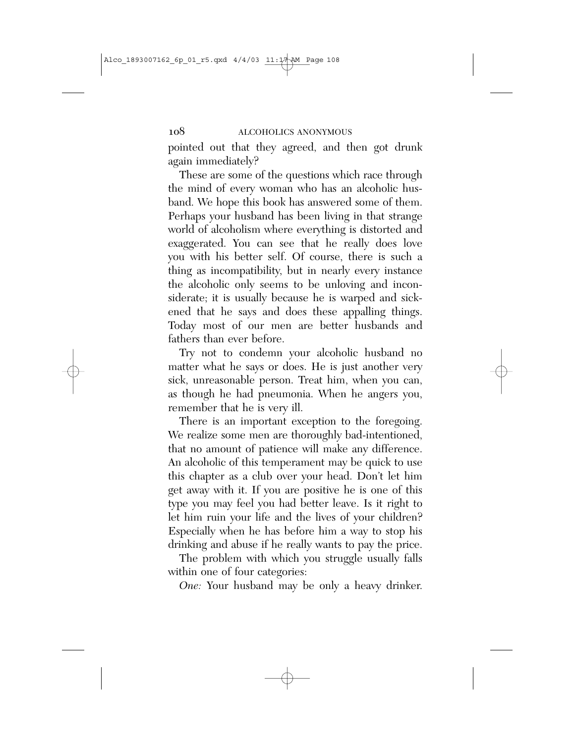pointed out that they agreed, and then got drunk again immediately?

These are some of the questions which race through the mind of every woman who has an alcoholic husband. We hope this book has answered some of them. Perhaps your husband has been living in that strange world of alcoholism where everything is distorted and exaggerated. You can see that he really does love you with his better self. Of course, there is such a thing as incompatibility, but in nearly every instance the alcoholic only seems to be unloving and inconsiderate; it is usually because he is warped and sickened that he says and does these appalling things. Today most of our men are better husbands and fathers than ever before.

Try not to condemn your alcoholic husband no matter what he says or does. He is just another very sick, unreasonable person. Treat him, when you can, as though he had pneumonia. When he angers you, remember that he is very ill.

There is an important exception to the foregoing. We realize some men are thoroughly bad-intentioned, that no amount of patience will make any difference. An alcoholic of this temperament may be quick to use this chapter as a club over your head. Don't let him get away with it. If you are positive he is one of this type you may feel you had better leave. Is it right to let him ruin your life and the lives of your children? Especially when he has before him a way to stop his drinking and abuse if he really wants to pay the price.

The problem with which you struggle usually falls within one of four categories:

*One:* Your husband may be only a heavy drinker.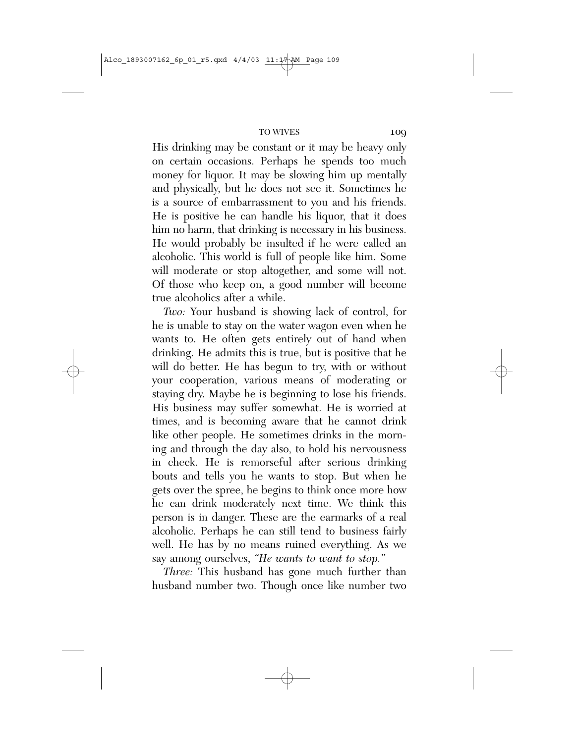His drinking may be constant or it may be heavy only on certain occasions. Perhaps he spends too much money for liquor. It may be slowing him up mentally and physically, but he does not see it. Sometimes he is a source of embarrassment to you and his friends. He is positive he can handle his liquor, that it does him no harm, that drinking is necessary in his business. He would probably be insulted if he were called an alcoholic. This world is full of people like him. Some will moderate or stop altogether, and some will not. Of those who keep on, a good number will become true alcoholics after a while.

*Two:* Your husband is showing lack of control, for he is unable to stay on the water wagon even when he wants to. He often gets entirely out of hand when drinking. He admits this is true, but is positive that he will do better. He has begun to try, with or without your cooperation, various means of moderating or staying dry. Maybe he is beginning to lose his friends. His business may suffer somewhat. He is worried at times, and is becoming aware that he cannot drink like other people. He sometimes drinks in the morning and through the day also, to hold his nervousness in check. He is remorseful after serious drinking bouts and tells you he wants to stop. But when he gets over the spree, he begins to think once more how he can drink moderately next time. We think this person is in danger. These are the earmarks of a real alcoholic. Perhaps he can still tend to business fairly well. He has by no means ruined everything. As we say among ourselves, *"He wants to want to stop."* 

*Three:* This husband has gone much further than husband number two. Though once like number two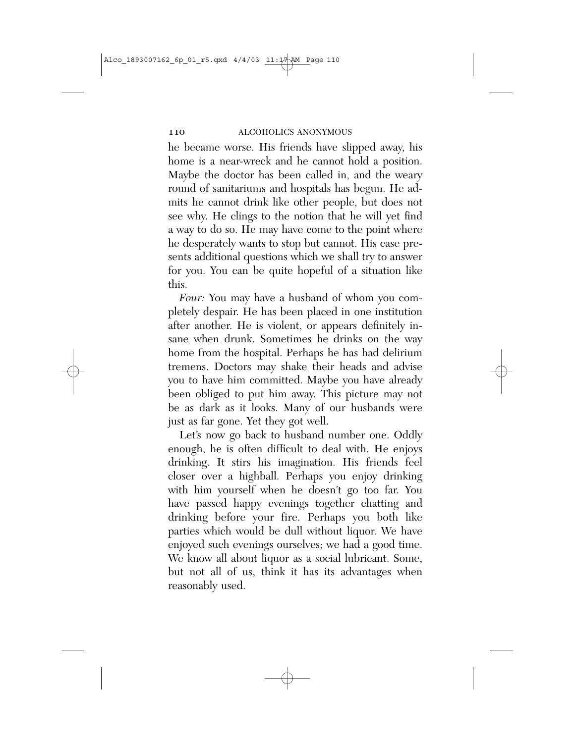he became worse. His friends have slipped away, his home is a near-wreck and he cannot hold a position. Maybe the doctor has been called in, and the weary round of sanitariums and hospitals has begun. He admits he cannot drink like other people, but does not see why. He clings to the notion that he will yet find a way to do so. He may have come to the point where he desperately wants to stop but cannot. His case presents additional questions which we shall try to answer for you. You can be quite hopeful of a situation like this.

*Four:* You may have a husband of whom you completely despair. He has been placed in one institution after another. He is violent, or appears definitely insane when drunk. Sometimes he drinks on the way home from the hospital. Perhaps he has had delirium tremens. Doctors may shake their heads and advise you to have him committed. Maybe you have already been obliged to put him away. This picture may not be as dark as it looks. Many of our husbands were just as far gone. Yet they got well.

Let's now go back to husband number one. Oddly enough, he is often difficult to deal with. He enjoys drinking. It stirs his imagination. His friends feel closer over a highball. Perhaps you enjoy drinking with him yourself when he doesn't go too far. You have passed happy evenings together chatting and drinking before your fire. Perhaps you both like parties which would be dull without liquor. We have enjoyed such evenings ourselves; we had a good time. We know all about liquor as a social lubricant. Some, but not all of us, think it has its advantages when reasonably used.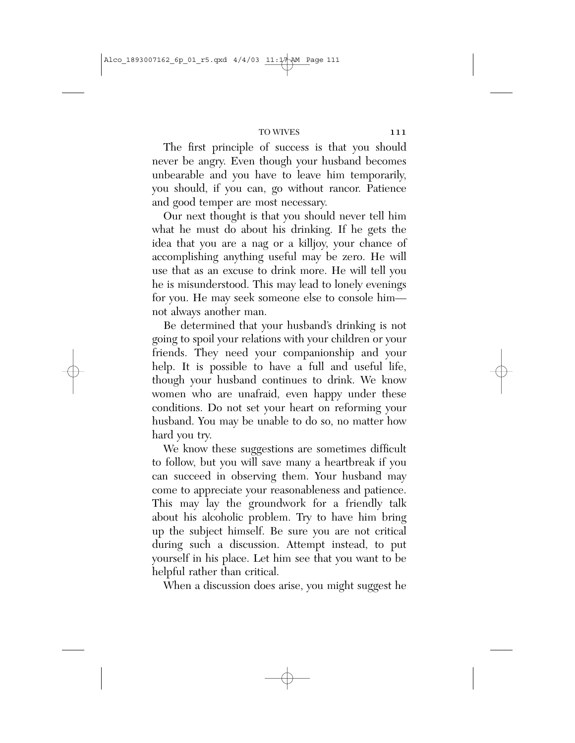The first principle of success is that you should never be angry. Even though your husband becomes unbearable and you have to leave him temporarily, you should, if you can, go without rancor. Patience and good temper are most necessary.

Our next thought is that you should never tell him what he must do about his drinking. If he gets the idea that you are a nag or a killjoy, your chance of accomplishing anything useful may be zero. He will use that as an excuse to drink more. He will tell you he is misunderstood. This may lead to lonely evenings for you. He may seek someone else to console him not always another man.

Be determined that your husband's drinking is not going to spoil your relations with your children or your friends. They need your companionship and your help. It is possible to have a full and useful life, though your husband continues to drink. We know women who are unafraid, even happy under these conditions. Do not set your heart on reforming your husband. You may be unable to do so, no matter how hard you try.

We know these suggestions are sometimes difficult to follow, but you will save many a heartbreak if you can succeed in observing them. Your husband may come to appreciate your reasonableness and patience. This may lay the groundwork for a friendly talk about his alcoholic problem. Try to have him bring up the subject himself. Be sure you are not critical during such a discussion. Attempt instead, to put yourself in his place. Let him see that you want to be helpful rather than critical.

When a discussion does arise, you might suggest he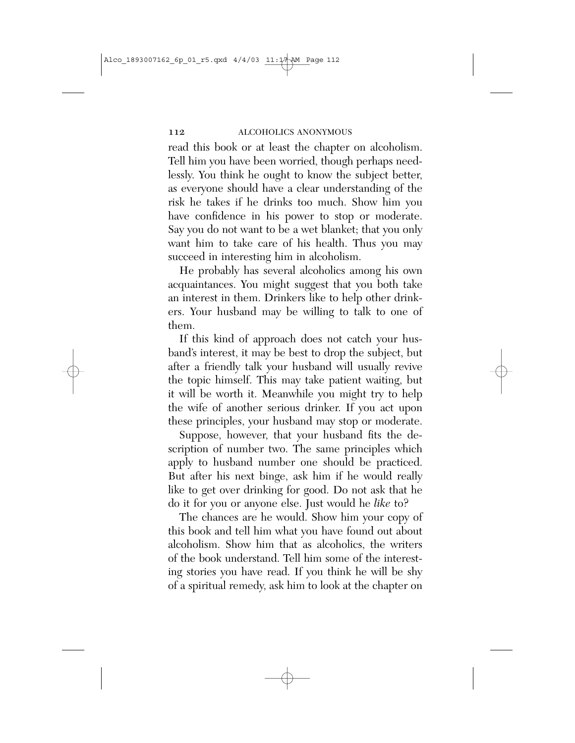read this book or at least the chapter on alcoholism. Tell him you have been worried, though perhaps needlessly. You think he ought to know the subject better, as everyone should have a clear understanding of the risk he takes if he drinks too much. Show him you have confidence in his power to stop or moderate. Say you do not want to be a wet blanket; that you only want him to take care of his health. Thus you may succeed in interesting him in alcoholism.

He probably has several alcoholics among his own acquaintances. You might suggest that you both take an interest in them. Drinkers like to help other drinkers. Your husband may be willing to talk to one of them.

If this kind of approach does not catch your husband's interest, it may be best to drop the subject, but after a friendly talk your husband will usually revive the topic himself. This may take patient waiting, but it will be worth it. Meanwhile you might try to help the wife of another serious drinker. If you act upon these principles, your husband may stop or moderate.

Suppose, however, that your husband fits the description of number two. The same principles which apply to husband number one should be practiced. But after his next binge, ask him if he would really like to get over drinking for good. Do not ask that he do it for you or anyone else. Just would he *like* to?

The chances are he would. Show him your copy of this book and tell him what you have found out about alcoholism. Show him that as alcoholics, the writers of the book understand. Tell him some of the interesting stories you have read. If you think he will be shy of a spiritual remedy, ask him to look at the chapter on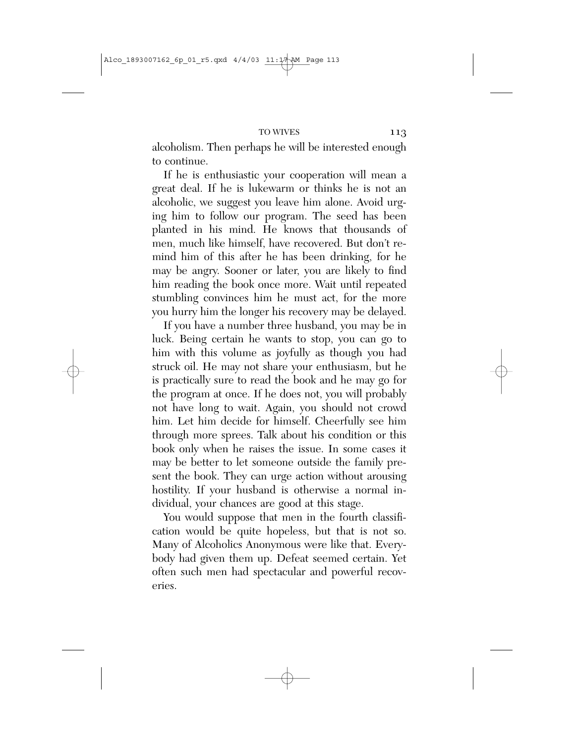alcoholism. Then perhaps he will be interested enough to continue.

If he is enthusiastic your cooperation will mean a great deal. If he is lukewarm or thinks he is not an alcoholic, we suggest you leave him alone. Avoid urging him to follow our program. The seed has been planted in his mind. He knows that thousands of men, much like himself, have recovered. But don't remind him of this after he has been drinking, for he may be angry. Sooner or later, you are likely to find him reading the book once more. Wait until repeated stumbling convinces him he must act, for the more you hurry him the longer his recovery may be delayed.

If you have a number three husband, you may be in luck. Being certain he wants to stop, you can go to him with this volume as joyfully as though you had struck oil. He may not share your enthusiasm, but he is practically sure to read the book and he may go for the program at once. If he does not, you will probably not have long to wait. Again, you should not crowd him. Let him decide for himself. Cheerfully see him through more sprees. Talk about his condition or this book only when he raises the issue. In some cases it may be better to let someone outside the family present the book. They can urge action without arousing hostility. If your husband is otherwise a normal individual, your chances are good at this stage.

You would suppose that men in the fourth classification would be quite hopeless, but that is not so. Many of Alcoholics Anonymous were like that. Everybody had given them up. Defeat seemed certain. Yet often such men had spectacular and powerful recoveries.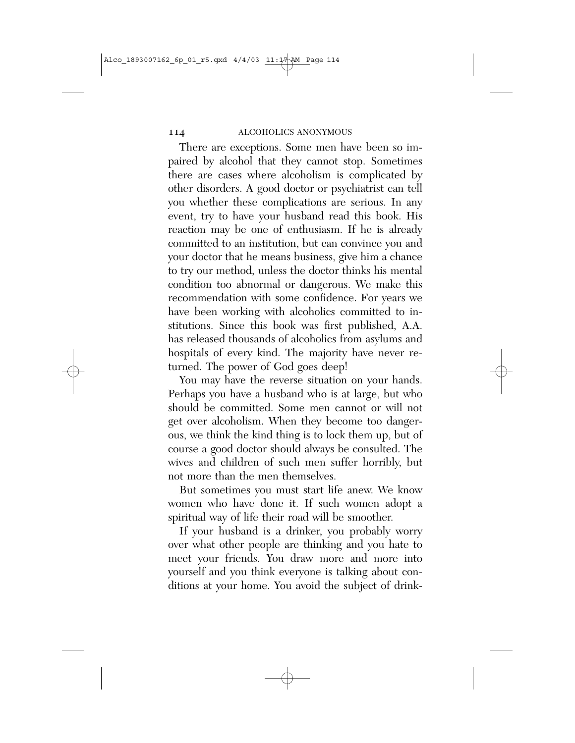There are exceptions. Some men have been so impaired by alcohol that they cannot stop. Sometimes there are cases where alcoholism is complicated by other disorders. A good doctor or psychiatrist can tell you whether these complications are serious. In any event, try to have your husband read this book. His reaction may be one of enthusiasm. If he is already committed to an institution, but can convince you and your doctor that he means business, give him a chance to try our method, unless the doctor thinks his mental condition too abnormal or dangerous. We make this recommendation with some confidence. For years we have been working with alcoholics committed to institutions. Since this book was first published, A.A. has released thousands of alcoholics from asylums and hospitals of every kind. The majority have never returned. The power of God goes deep!

You may have the reverse situation on your hands. Perhaps you have a husband who is at large, but who should be committed. Some men cannot or will not get over alcoholism. When they become too dangerous, we think the kind thing is to lock them up, but of course a good doctor should always be consulted. The wives and children of such men suffer horribly, but not more than the men themselves.

But sometimes you must start life anew. We know women who have done it. If such women adopt a spiritual way of life their road will be smoother.

If your husband is a drinker, you probably worry over what other people are thinking and you hate to meet your friends. You draw more and more into yourself and you think everyone is talking about conditions at your home. You avoid the subject of drink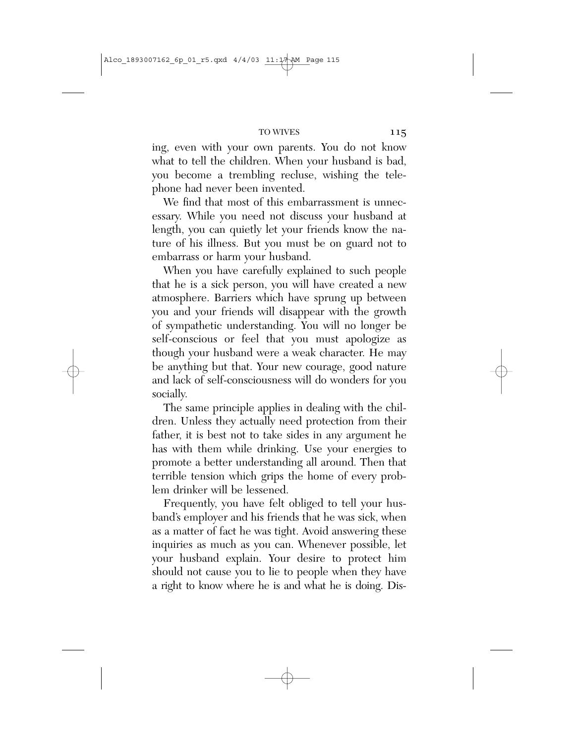ing, even with your own parents. You do not know what to tell the children. When your husband is bad, you become a trembling recluse, wishing the telephone had never been invented.

We find that most of this embarrassment is unnecessary. While you need not discuss your husband at length, you can quietly let your friends know the nature of his illness. But you must be on guard not to embarrass or harm your husband.

When you have carefully explained to such people that he is a sick person, you will have created a new atmosphere. Barriers which have sprung up between you and your friends will disappear with the growth of sympathetic understanding. You will no longer be self-conscious or feel that you must apologize as though your husband were a weak character. He may be anything but that. Your new courage, good nature and lack of self-consciousness will do wonders for you socially.

The same principle applies in dealing with the children. Unless they actually need protection from their father, it is best not to take sides in any argument he has with them while drinking. Use your energies to promote a better understanding all around. Then that terrible tension which grips the home of every problem drinker will be lessened.

Frequently, you have felt obliged to tell your husband's employer and his friends that he was sick, when as a matter of fact he was tight. Avoid answering these inquiries as much as you can. Whenever possible, let your husband explain. Your desire to protect him should not cause you to lie to people when they have a right to know where he is and what he is doing. Dis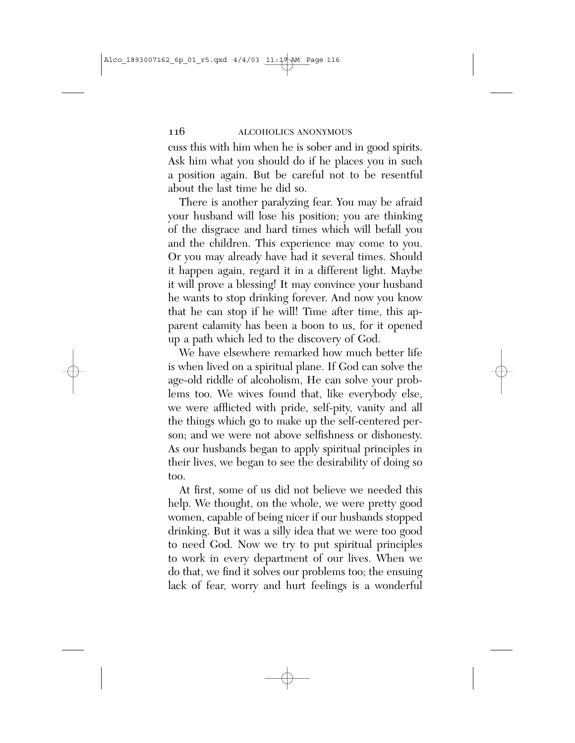cuss this with him when he is sober and in good spirits. Ask him what you should do if he places you in such a position again. But be careful not to be resentful about the last time he did so.

There is another paralyzing fear. You may be afraid your husband will lose his position; you are thinking of the disgrace and hard times which will befall you and the children. This experience may come to you. Or you may already have had it several times. Should it happen again, regard it in a different light. Maybe it will prove a blessing! It may convince your husband he wants to stop drinking forever. And now you know that he can stop if he will! Time after time, this apparent calamity has been a boon to us, for it opened up a path which led to the discovery of God.

We have elsewhere remarked how much better life is when lived on a spiritual plane. If God can solve the age-old riddle of alcoholism, He can solve your problems too. We wives found that, like everybody else, we were afflicted with pride, self-pity, vanity and all the things which go to make up the self-centered person; and we were not above selfishness or dishonesty. As our husbands began to apply spiritual principles in their lives, we began to see the desirability of doing so too.

At first, some of us did not believe we needed this help. We thought, on the whole, we were pretty good women, capable of being nicer if our husbands stopped drinking. But it was a silly idea that we were too good to need God. Now we try to put spiritual principles to work in every department of our lives. When we do that, we find it solves our problems too; the ensuing lack of fear, worry and hurt feelings is a wonderful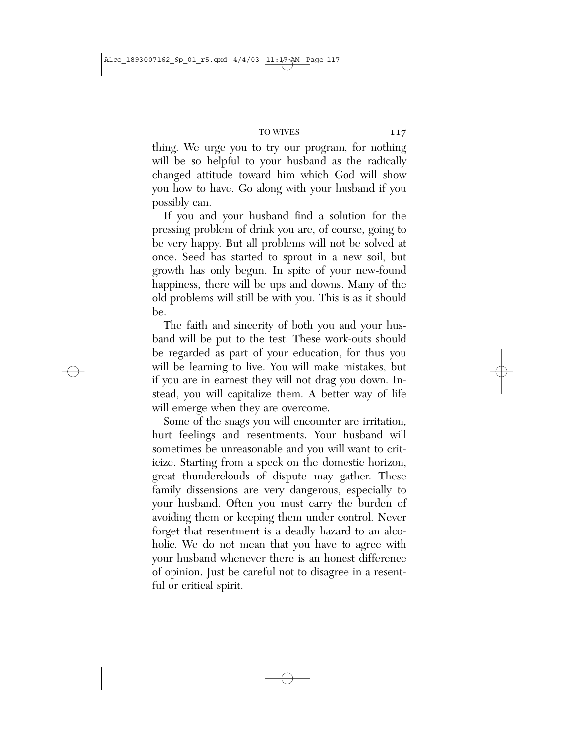thing. We urge you to try our program, for nothing will be so helpful to your husband as the radically changed attitude toward him which God will show you how to have. Go along with your husband if you possibly can.

If you and your husband find a solution for the pressing problem of drink you are, of course, going to be very happy. But all problems will not be solved at once. Seed has started to sprout in a new soil, but growth has only begun. In spite of your new-found happiness, there will be ups and downs. Many of the old problems will still be with you. This is as it should be.

The faith and sincerity of both you and your husband will be put to the test. These work-outs should be regarded as part of your education, for thus you will be learning to live. You will make mistakes, but if you are in earnest they will not drag you down. Instead, you will capitalize them. A better way of life will emerge when they are overcome.

Some of the snags you will encounter are irritation, hurt feelings and resentments. Your husband will sometimes be unreasonable and you will want to criticize. Starting from a speck on the domestic horizon, great thunderclouds of dispute may gather. These family dissensions are very dangerous, especially to your husband. Often you must carry the burden of avoiding them or keeping them under control. Never forget that resentment is a deadly hazard to an alcoholic. We do not mean that you have to agree with your husband whenever there is an honest difference of opinion. Just be careful not to disagree in a resentful or critical spirit.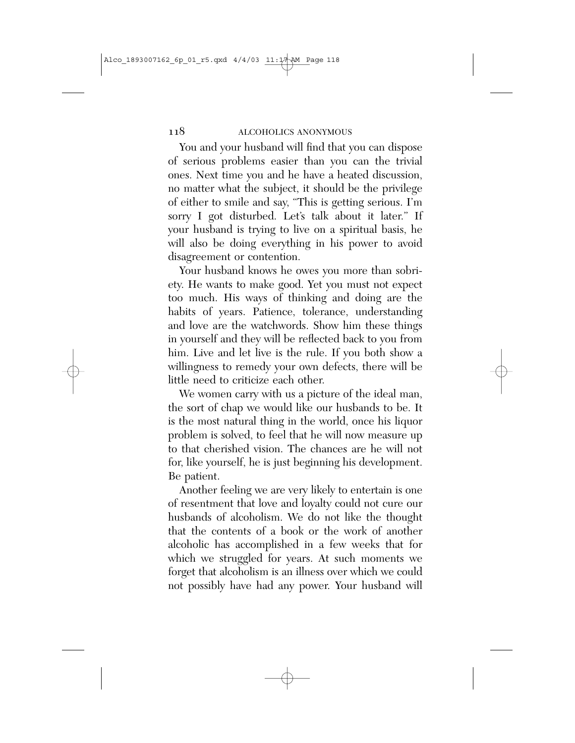You and your husband will find that you can dispose of serious problems easier than you can the trivial ones. Next time you and he have a heated discussion, no matter what the subject, it should be the privilege of either to smile and say, "This is getting serious. I'm sorry I got disturbed. Let's talk about it later." If your husband is trying to live on a spiritual basis, he will also be doing everything in his power to avoid disagreement or contention.

Your husband knows he owes you more than sobriety. He wants to make good. Yet you must not expect too much. His ways of thinking and doing are the habits of years. Patience, tolerance, understanding and love are the watchwords. Show him these things in yourself and they will be reflected back to you from him. Live and let live is the rule. If you both show a willingness to remedy your own defects, there will be little need to criticize each other.

We women carry with us a picture of the ideal man, the sort of chap we would like our husbands to be. It is the most natural thing in the world, once his liquor problem is solved, to feel that he will now measure up to that cherished vision. The chances are he will not for, like yourself, he is just beginning his development. Be patient.

Another feeling we are very likely to entertain is one of resentment that love and loyalty could not cure our husbands of alcoholism. We do not like the thought that the contents of a book or the work of another alcoholic has accomplished in a few weeks that for which we struggled for years. At such moments we forget that alcoholism is an illness over which we could not possibly have had any power. Your husband will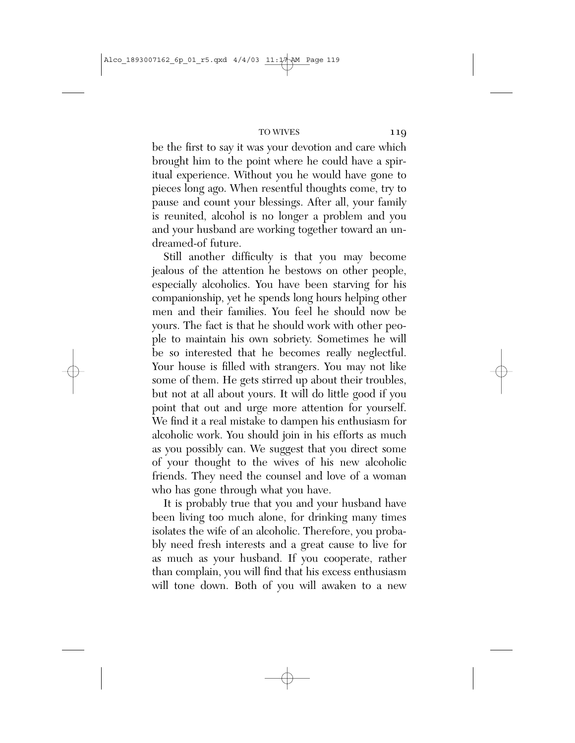be the first to say it was your devotion and care which brought him to the point where he could have a spiritual experience. Without you he would have gone to pieces long ago. When resentful thoughts come, try to pause and count your blessings. After all, your family is reunited, alcohol is no longer a problem and you and your husband are working together toward an undreamed-of future.

Still another difficulty is that you may become jealous of the attention he bestows on other people, especially alcoholics. You have been starving for his companionship, yet he spends long hours helping other men and their families. You feel he should now be yours. The fact is that he should work with other people to maintain his own sobriety. Sometimes he will be so interested that he becomes really neglectful. Your house is filled with strangers. You may not like some of them. He gets stirred up about their troubles, but not at all about yours. It will do little good if you point that out and urge more attention for yourself. We find it a real mistake to dampen his enthusiasm for alcoholic work. You should join in his efforts as much as you possibly can. We suggest that you direct some of your thought to the wives of his new alcoholic friends. They need the counsel and love of a woman who has gone through what you have.

It is probably true that you and your husband have been living too much alone, for drinking many times isolates the wife of an alcoholic. Therefore, you probably need fresh interests and a great cause to live for as much as your husband. If you cooperate, rather than complain, you will find that his excess enthusiasm will tone down. Both of you will awaken to a new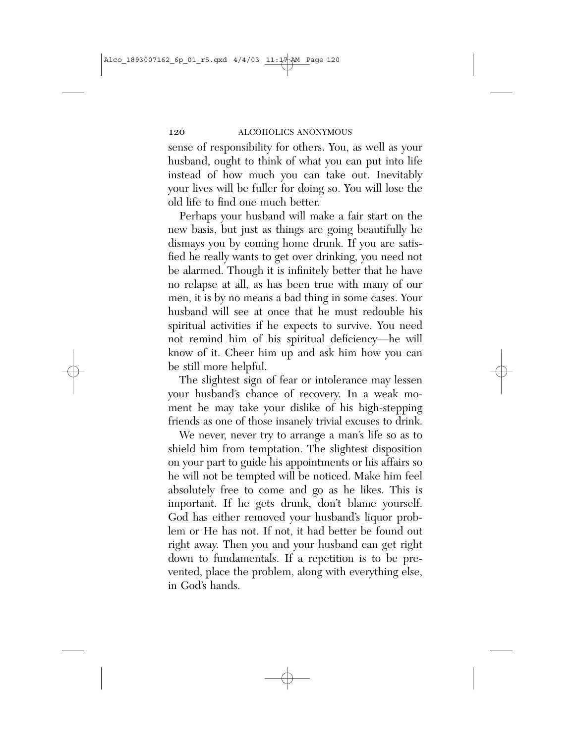sense of responsibility for others. You, as well as your husband, ought to think of what you can put into life instead of how much you can take out. Inevitably your lives will be fuller for doing so. You will lose the old life to find one much better.

Perhaps your husband will make a fair start on the new basis, but just as things are going beautifully he dismays you by coming home drunk. If you are satisfied he really wants to get over drinking, you need not be alarmed. Though it is infinitely better that he have no relapse at all, as has been true with many of our men, it is by no means a bad thing in some cases. Your husband will see at once that he must redouble his spiritual activities if he expects to survive. You need not remind him of his spiritual deficiency—he will know of it. Cheer him up and ask him how you can be still more helpful.

The slightest sign of fear or intolerance may lessen your husband's chance of recovery. In a weak moment he may take your dislike of his high-stepping friends as one of those insanely trivial excuses to drink.

We never, never try to arrange a man's life so as to shield him from temptation. The slightest disposition on your part to guide his appointments or his affairs so he will not be tempted will be noticed. Make him feel absolutely free to come and go as he likes. This is important. If he gets drunk, don't blame yourself. God has either removed your husband's liquor problem or He has not. If not, it had better be found out right away. Then you and your husband can get right down to fundamentals. If a repetition is to be prevented, place the problem, along with everything else, in God's hands.